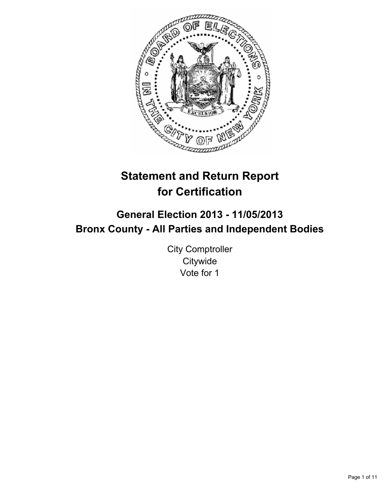

# **Statement and Return Report for Certification**

# **General Election 2013 - 11/05/2013 Bronx County - All Parties and Independent Bodies**

City Comptroller **Citywide** Vote for 1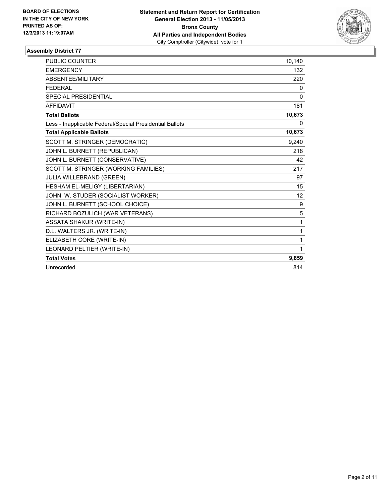

| <b>PUBLIC COUNTER</b>                                    | 10,140 |
|----------------------------------------------------------|--------|
| <b>EMERGENCY</b>                                         | 132    |
| ABSENTEE/MILITARY                                        | 220    |
| <b>FEDERAL</b>                                           | 0      |
| <b>SPECIAL PRESIDENTIAL</b>                              | 0      |
| <b>AFFIDAVIT</b>                                         | 181    |
| <b>Total Ballots</b>                                     | 10,673 |
| Less - Inapplicable Federal/Special Presidential Ballots | 0      |
| <b>Total Applicable Ballots</b>                          | 10,673 |
| SCOTT M. STRINGER (DEMOCRATIC)                           | 9,240  |
| JOHN L. BURNETT (REPUBLICAN)                             | 218    |
| JOHN L. BURNETT (CONSERVATIVE)                           | 42     |
| SCOTT M. STRINGER (WORKING FAMILIES)                     | 217    |
| JULIA WILLEBRAND (GREEN)                                 | 97     |
| HESHAM EL-MELIGY (LIBERTARIAN)                           | 15     |
| JOHN W. STUDER (SOCIALIST WORKER)                        | 12     |
| JOHN L. BURNETT (SCHOOL CHOICE)                          | 9      |
| RICHARD BOZULICH (WAR VETERANS)                          | 5      |
| <b>ASSATA SHAKUR (WRITE-IN)</b>                          | 1      |
| D.L. WALTERS JR. (WRITE-IN)                              | 1      |
| ELIZABETH CORE (WRITE-IN)                                | 1      |
| LEONARD PELTIER (WRITE-IN)                               | 1      |
| <b>Total Votes</b>                                       | 9,859  |
| Unrecorded                                               | 814    |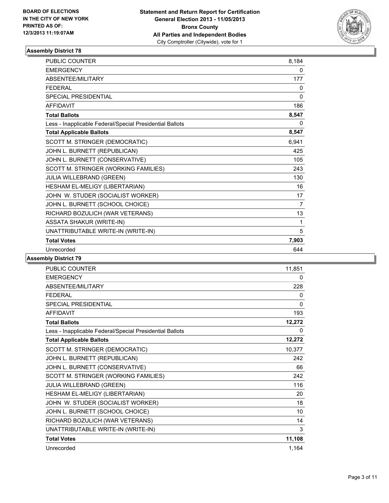

| PUBLIC COUNTER                                           | 8,184          |
|----------------------------------------------------------|----------------|
| <b>EMERGENCY</b>                                         | 0              |
| <b>ABSENTEE/MILITARY</b>                                 | 177            |
| <b>FEDERAL</b>                                           | 0              |
| <b>SPECIAL PRESIDENTIAL</b>                              | $\mathbf{0}$   |
| <b>AFFIDAVIT</b>                                         | 186            |
| <b>Total Ballots</b>                                     | 8,547          |
| Less - Inapplicable Federal/Special Presidential Ballots | $\Omega$       |
| <b>Total Applicable Ballots</b>                          | 8,547          |
| SCOTT M. STRINGER (DEMOCRATIC)                           | 6,941          |
| JOHN L. BURNETT (REPUBLICAN)                             | 425            |
| JOHN L. BURNETT (CONSERVATIVE)                           | 105            |
| SCOTT M. STRINGER (WORKING FAMILIES)                     | 243            |
| JULIA WILLEBRAND (GREEN)                                 | 130            |
| HESHAM EL-MELIGY (LIBERTARIAN)                           | 16             |
| JOHN W. STUDER (SOCIALIST WORKER)                        | 17             |
| JOHN L. BURNETT (SCHOOL CHOICE)                          | $\overline{7}$ |
| RICHARD BOZULICH (WAR VETERANS)                          | 13             |
| <b>ASSATA SHAKUR (WRITE-IN)</b>                          | 1              |
| UNATTRIBUTABLE WRITE-IN (WRITE-IN)                       | 5              |
| <b>Total Votes</b>                                       | 7,903          |
| Unrecorded                                               | 644            |

| <b>PUBLIC COUNTER</b>                                    | 11,851       |
|----------------------------------------------------------|--------------|
| <b>EMERGENCY</b>                                         | 0            |
| ABSENTEE/MILITARY                                        | 228          |
| <b>FEDERAL</b>                                           | 0            |
| <b>SPECIAL PRESIDENTIAL</b>                              | $\mathbf{0}$ |
| <b>AFFIDAVIT</b>                                         | 193          |
| <b>Total Ballots</b>                                     | 12,272       |
| Less - Inapplicable Federal/Special Presidential Ballots | 0            |
| <b>Total Applicable Ballots</b>                          | 12,272       |
| SCOTT M. STRINGER (DEMOCRATIC)                           | 10,377       |
| JOHN L. BURNETT (REPUBLICAN)                             | 242          |
| JOHN L. BURNETT (CONSERVATIVE)                           | 66           |
| SCOTT M. STRINGER (WORKING FAMILIES)                     | 242          |
| <b>JULIA WILLEBRAND (GREEN)</b>                          | 116          |
| HESHAM EL-MELIGY (LIBERTARIAN)                           | 20           |
| JOHN W. STUDER (SOCIALIST WORKER)                        | 18           |
| JOHN L. BURNETT (SCHOOL CHOICE)                          | 10           |
| RICHARD BOZULICH (WAR VETERANS)                          | 14           |
| UNATTRIBUTABLE WRITE-IN (WRITE-IN)                       | 3            |
| <b>Total Votes</b>                                       | 11,108       |
| Unrecorded                                               | 1,164        |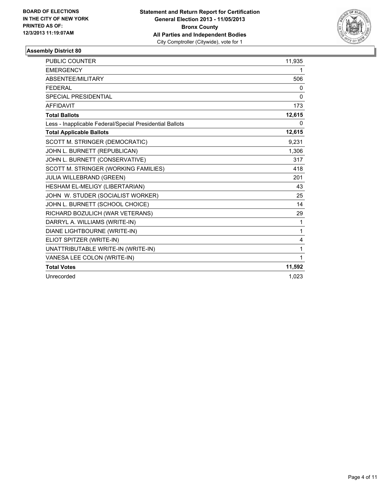

| PUBLIC COUNTER                                           | 11,935       |
|----------------------------------------------------------|--------------|
| <b>EMERGENCY</b>                                         | 1            |
| <b>ABSENTEE/MILITARY</b>                                 | 506          |
| <b>FFDFRAL</b>                                           | 0            |
| <b>SPECIAL PRESIDENTIAL</b>                              | $\mathbf{0}$ |
| <b>AFFIDAVIT</b>                                         | 173          |
| <b>Total Ballots</b>                                     | 12,615       |
| Less - Inapplicable Federal/Special Presidential Ballots | 0            |
| <b>Total Applicable Ballots</b>                          | 12,615       |
| SCOTT M. STRINGER (DEMOCRATIC)                           | 9,231        |
| JOHN L. BURNETT (REPUBLICAN)                             | 1,306        |
| JOHN L. BURNETT (CONSERVATIVE)                           | 317          |
| SCOTT M. STRINGER (WORKING FAMILIES)                     | 418          |
| JULIA WILLEBRAND (GREEN)                                 | 201          |
| HESHAM EL-MELIGY (LIBERTARIAN)                           | 43           |
| JOHN W. STUDER (SOCIALIST WORKER)                        | 25           |
| JOHN L. BURNETT (SCHOOL CHOICE)                          | 14           |
| RICHARD BOZULICH (WAR VETERANS)                          | 29           |
| DARRYL A. WILLIAMS (WRITE-IN)                            | 1            |
| DIANE LIGHTBOURNE (WRITE-IN)                             | 1            |
| ELIOT SPITZER (WRITE-IN)                                 | 4            |
| UNATTRIBUTABLE WRITE-IN (WRITE-IN)                       | 1            |
| VANESA LEE COLON (WRITE-IN)                              | 1            |
| <b>Total Votes</b>                                       | 11,592       |
| Unrecorded                                               | 1.023        |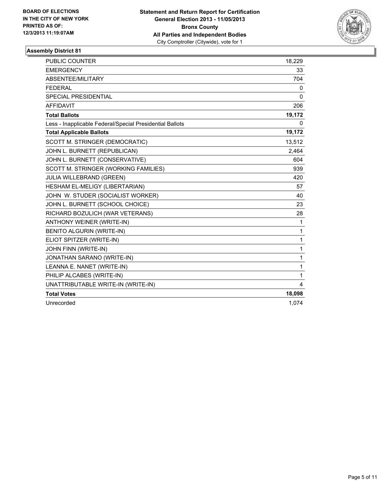

| <b>PUBLIC COUNTER</b>                                    | 18,229       |
|----------------------------------------------------------|--------------|
| <b>EMERGENCY</b>                                         | 33           |
| <b>ABSENTEE/MILITARY</b>                                 | 704          |
| <b>FEDERAL</b>                                           | 0            |
| <b>SPECIAL PRESIDENTIAL</b>                              | $\mathbf{0}$ |
| <b>AFFIDAVIT</b>                                         | 206          |
| <b>Total Ballots</b>                                     | 19,172       |
| Less - Inapplicable Federal/Special Presidential Ballots | 0            |
| <b>Total Applicable Ballots</b>                          | 19,172       |
| SCOTT M. STRINGER (DEMOCRATIC)                           | 13,512       |
| JOHN L. BURNETT (REPUBLICAN)                             | 2,464        |
| JOHN L. BURNETT (CONSERVATIVE)                           | 604          |
| SCOTT M. STRINGER (WORKING FAMILIES)                     | 939          |
| <b>JULIA WILLEBRAND (GREEN)</b>                          | 420          |
| HESHAM EL-MELIGY (LIBERTARIAN)                           | 57           |
| JOHN W. STUDER (SOCIALIST WORKER)                        | 40           |
| JOHN L. BURNETT (SCHOOL CHOICE)                          | 23           |
| RICHARD BOZULICH (WAR VETERANS)                          | 28           |
| ANTHONY WEINER (WRITE-IN)                                | 1            |
| BENITO ALGURIN (WRITE-IN)                                | 1            |
| ELIOT SPITZER (WRITE-IN)                                 | 1            |
| JOHN FINN (WRITE-IN)                                     | 1            |
| JONATHAN SARANO (WRITE-IN)                               | 1            |
| LEANNA E. NANET (WRITE-IN)                               | 1            |
| PHILIP ALCABES (WRITE-IN)                                | 1            |
| UNATTRIBUTABLE WRITE-IN (WRITE-IN)                       | 4            |
| <b>Total Votes</b>                                       | 18,098       |
| Unrecorded                                               | 1,074        |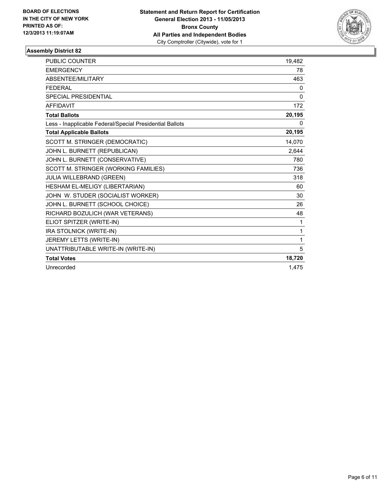

| <b>PUBLIC COUNTER</b>                                    | 19,482       |
|----------------------------------------------------------|--------------|
| <b>EMERGENCY</b>                                         | 78           |
| ABSENTEE/MILITARY                                        | 463          |
| <b>FEDERAL</b>                                           | 0            |
| <b>SPECIAL PRESIDENTIAL</b>                              | 0            |
| <b>AFFIDAVIT</b>                                         | 172          |
| <b>Total Ballots</b>                                     | 20,195       |
| Less - Inapplicable Federal/Special Presidential Ballots | 0            |
| <b>Total Applicable Ballots</b>                          | 20,195       |
| SCOTT M. STRINGER (DEMOCRATIC)                           | 14,070       |
| JOHN L. BURNETT (REPUBLICAN)                             | 2,644        |
| JOHN L. BURNETT (CONSERVATIVE)                           | 780          |
| SCOTT M. STRINGER (WORKING FAMILIES)                     | 736          |
| <b>JULIA WILLEBRAND (GREEN)</b>                          | 318          |
| HESHAM EL-MELIGY (LIBERTARIAN)                           | 60           |
| JOHN W. STUDER (SOCIALIST WORKER)                        | 30           |
| JOHN L. BURNETT (SCHOOL CHOICE)                          | 26           |
| RICHARD BOZULICH (WAR VETERANS)                          | 48           |
| ELIOT SPITZER (WRITE-IN)                                 | $\mathbf{1}$ |
| IRA STOLNICK (WRITE-IN)                                  | 1            |
| JEREMY LETTS (WRITE-IN)                                  | 1            |
| UNATTRIBUTABLE WRITE-IN (WRITE-IN)                       | 5            |
| <b>Total Votes</b>                                       | 18,720       |
| Unrecorded                                               | 1.475        |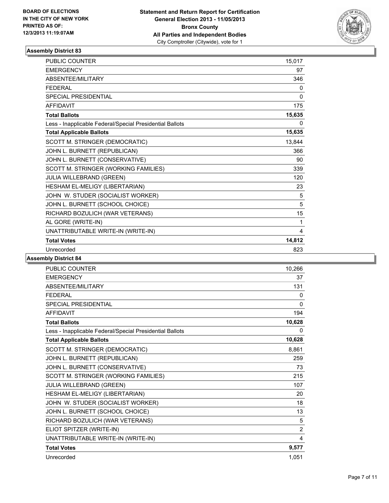

| PUBLIC COUNTER                                           | 15,017 |
|----------------------------------------------------------|--------|
| <b>EMERGENCY</b>                                         | 97     |
| <b>ABSENTEE/MILITARY</b>                                 | 346    |
| <b>FEDERAL</b>                                           | 0      |
| SPECIAL PRESIDENTIAL                                     | 0      |
| <b>AFFIDAVIT</b>                                         | 175    |
| <b>Total Ballots</b>                                     | 15,635 |
| Less - Inapplicable Federal/Special Presidential Ballots | 0      |
| <b>Total Applicable Ballots</b>                          | 15,635 |
| SCOTT M. STRINGER (DEMOCRATIC)                           | 13,844 |
| JOHN L. BURNETT (REPUBLICAN)                             | 366    |
| JOHN L. BURNETT (CONSERVATIVE)                           | 90     |
| SCOTT M. STRINGER (WORKING FAMILIES)                     | 339    |
| JULIA WILLEBRAND (GREEN)                                 | 120    |
| HESHAM EL-MELIGY (LIBERTARIAN)                           | 23     |
| JOHN W. STUDER (SOCIALIST WORKER)                        | 5      |
| JOHN L. BURNETT (SCHOOL CHOICE)                          | 5      |
| RICHARD BOZULICH (WAR VETERANS)                          | 15     |
| AL GORE (WRITE-IN)                                       | 1      |
| UNATTRIBUTABLE WRITE-IN (WRITE-IN)                       | 4      |
| <b>Total Votes</b>                                       | 14,812 |
| Unrecorded                                               | 823    |

| <b>PUBLIC COUNTER</b>                                    | 10,266         |
|----------------------------------------------------------|----------------|
| <b>EMERGENCY</b>                                         | 37             |
| ABSENTEE/MILITARY                                        | 131            |
| <b>FEDERAL</b>                                           | 0              |
| <b>SPECIAL PRESIDENTIAL</b>                              | $\mathbf{0}$   |
| <b>AFFIDAVIT</b>                                         | 194            |
| <b>Total Ballots</b>                                     | 10,628         |
| Less - Inapplicable Federal/Special Presidential Ballots | 0              |
| <b>Total Applicable Ballots</b>                          | 10,628         |
| SCOTT M. STRINGER (DEMOCRATIC)                           | 8,861          |
| JOHN L. BURNETT (REPUBLICAN)                             | 259            |
| JOHN L. BURNETT (CONSERVATIVE)                           | 73             |
| SCOTT M. STRINGER (WORKING FAMILIES)                     | 215            |
| JULIA WILLEBRAND (GREEN)                                 | 107            |
| HESHAM EL-MELIGY (LIBERTARIAN)                           | 20             |
| JOHN W. STUDER (SOCIALIST WORKER)                        | 18             |
| JOHN L. BURNETT (SCHOOL CHOICE)                          | 13             |
| RICHARD BOZULICH (WAR VETERANS)                          | 5              |
| ELIOT SPITZER (WRITE-IN)                                 | $\overline{2}$ |
| UNATTRIBUTABLE WRITE-IN (WRITE-IN)                       | 4              |
| <b>Total Votes</b>                                       | 9,577          |
| Unrecorded                                               | 1,051          |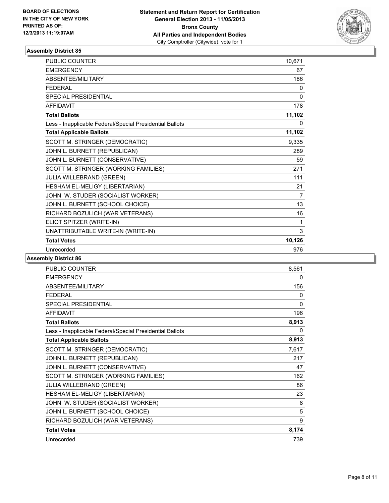

| <b>PUBLIC COUNTER</b>                                    | 10,671       |
|----------------------------------------------------------|--------------|
| <b>EMERGENCY</b>                                         | 67           |
| <b>ABSENTEE/MILITARY</b>                                 | 186          |
| <b>FEDERAL</b>                                           | 0            |
| <b>SPECIAL PRESIDENTIAL</b>                              | $\mathbf{0}$ |
| <b>AFFIDAVIT</b>                                         | 178          |
| <b>Total Ballots</b>                                     | 11,102       |
| Less - Inapplicable Federal/Special Presidential Ballots | $\Omega$     |
| <b>Total Applicable Ballots</b>                          | 11,102       |
| SCOTT M. STRINGER (DEMOCRATIC)                           | 9,335        |
| JOHN L. BURNETT (REPUBLICAN)                             | 289          |
| JOHN L. BURNETT (CONSERVATIVE)                           | 59           |
| SCOTT M. STRINGER (WORKING FAMILIES)                     | 271          |
| JULIA WILLEBRAND (GREEN)                                 | 111          |
| HESHAM EL-MELIGY (LIBERTARIAN)                           | 21           |
| JOHN W. STUDER (SOCIALIST WORKER)                        | 7            |
| JOHN L. BURNETT (SCHOOL CHOICE)                          | 13           |
| RICHARD BOZULICH (WAR VETERANS)                          | 16           |
| ELIOT SPITZER (WRITE-IN)                                 | 1            |
| UNATTRIBUTABLE WRITE-IN (WRITE-IN)                       | 3            |
| <b>Total Votes</b>                                       | 10,126       |
| Unrecorded                                               | 976          |

| <b>PUBLIC COUNTER</b>                                    | 8,561        |
|----------------------------------------------------------|--------------|
| <b>EMERGENCY</b>                                         | 0            |
| <b>ABSENTEE/MILITARY</b>                                 | 156          |
| <b>FEDERAL</b>                                           | $\mathbf{0}$ |
| <b>SPECIAL PRESIDENTIAL</b>                              | 0            |
| <b>AFFIDAVIT</b>                                         | 196          |
| <b>Total Ballots</b>                                     | 8,913        |
| Less - Inapplicable Federal/Special Presidential Ballots | 0            |
| <b>Total Applicable Ballots</b>                          | 8,913        |
| SCOTT M. STRINGER (DEMOCRATIC)                           | 7,617        |
| JOHN L. BURNETT (REPUBLICAN)                             | 217          |
| JOHN L. BURNETT (CONSERVATIVE)                           | 47           |
| SCOTT M. STRINGER (WORKING FAMILIES)                     | 162          |
| JULIA WILLEBRAND (GREEN)                                 | 86           |
| HESHAM EL-MELIGY (LIBERTARIAN)                           | 23           |
| JOHN W. STUDER (SOCIALIST WORKER)                        | 8            |
| JOHN L. BURNETT (SCHOOL CHOICE)                          | 5            |
| RICHARD BOZULICH (WAR VETERANS)                          | 9            |
| <b>Total Votes</b>                                       | 8,174        |
| Unrecorded                                               | 739          |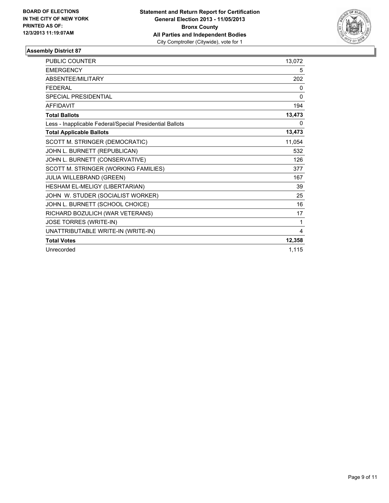

| <b>PUBLIC COUNTER</b>                                    | 13,072       |
|----------------------------------------------------------|--------------|
| <b>EMERGENCY</b>                                         | 5            |
| <b>ABSENTEE/MILITARY</b>                                 | 202          |
| <b>FFDFRAI</b>                                           | $\mathbf{0}$ |
| <b>SPECIAL PRESIDENTIAL</b>                              | 0            |
| <b>AFFIDAVIT</b>                                         | 194          |
| <b>Total Ballots</b>                                     | 13,473       |
| Less - Inapplicable Federal/Special Presidential Ballots | 0            |
| <b>Total Applicable Ballots</b>                          | 13,473       |
| SCOTT M. STRINGER (DEMOCRATIC)                           | 11,054       |
| JOHN L. BURNETT (REPUBLICAN)                             | 532          |
| JOHN L. BURNETT (CONSERVATIVE)                           | 126          |
| SCOTT M. STRINGER (WORKING FAMILIES)                     | 377          |
| <b>JULIA WILLEBRAND (GREEN)</b>                          | 167          |
| HESHAM EL-MELIGY (LIBERTARIAN)                           | 39           |
| JOHN W. STUDER (SOCIALIST WORKER)                        | 25           |
| JOHN L. BURNETT (SCHOOL CHOICE)                          | 16           |
| RICHARD BOZULICH (WAR VETERANS)                          | 17           |
| JOSE TORRES (WRITE-IN)                                   | $\mathbf 1$  |
| UNATTRIBUTABLE WRITE-IN (WRITE-IN)                       | 4            |
| <b>Total Votes</b>                                       | 12,358       |
| Unrecorded                                               | 1,115        |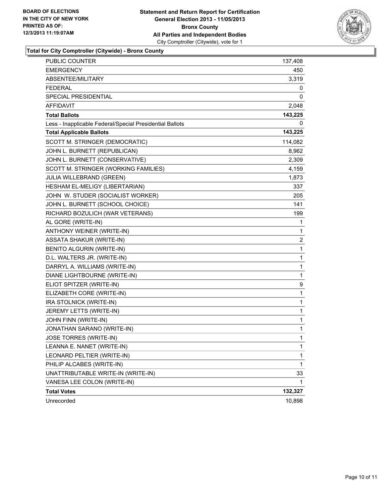

**Total for City Comptroller (Citywide) - Bronx County**

| <b>PUBLIC COUNTER</b>                                    | 137,408      |
|----------------------------------------------------------|--------------|
| <b>EMERGENCY</b>                                         | 450          |
| ABSENTEE/MILITARY                                        | 3,319        |
| <b>FEDERAL</b>                                           | 0            |
| SPECIAL PRESIDENTIAL                                     | 0            |
| <b>AFFIDAVIT</b>                                         | 2,048        |
| <b>Total Ballots</b>                                     | 143,225      |
| Less - Inapplicable Federal/Special Presidential Ballots | 0            |
| <b>Total Applicable Ballots</b>                          | 143,225      |
| SCOTT M. STRINGER (DEMOCRATIC)                           | 114,082      |
| JOHN L. BURNETT (REPUBLICAN)                             | 8,962        |
| JOHN L. BURNETT (CONSERVATIVE)                           | 2,309        |
| SCOTT M. STRINGER (WORKING FAMILIES)                     | 4,159        |
| JULIA WILLEBRAND (GREEN)                                 | 1,873        |
| HESHAM EL-MELIGY (LIBERTARIAN)                           | 337          |
| JOHN W. STUDER (SOCIALIST WORKER)                        | 205          |
| JOHN L. BURNETT (SCHOOL CHOICE)                          | 141          |
| RICHARD BOZULICH (WAR VETERANS)                          | 199          |
| AL GORE (WRITE-IN)                                       | 1            |
| ANTHONY WEINER (WRITE-IN)                                | 1            |
| <b>ASSATA SHAKUR (WRITE-IN)</b>                          | 2            |
| BENITO ALGURIN (WRITE-IN)                                | 1            |
| D.L. WALTERS JR. (WRITE-IN)                              | 1            |
| DARRYL A. WILLIAMS (WRITE-IN)                            | 1            |
| DIANE LIGHTBOURNE (WRITE-IN)                             | 1            |
| ELIOT SPITZER (WRITE-IN)                                 | 9            |
| ELIZABETH CORE (WRITE-IN)                                | 1            |
| IRA STOLNICK (WRITE-IN)                                  | 1            |
| JEREMY LETTS (WRITE-IN)                                  | 1            |
| JOHN FINN (WRITE-IN)                                     | 1            |
| JONATHAN SARANO (WRITE-IN)                               | 1            |
| JOSE TORRES (WRITE-IN)                                   | $\mathbf{1}$ |
| LEANNA E. NANET (WRITE-IN)                               | 1            |
| LEONARD PELTIER (WRITE-IN)                               | 1            |
| PHILIP ALCABES (WRITE-IN)                                | 1            |
| UNATTRIBUTABLE WRITE-IN (WRITE-IN)                       | 33           |
| VANESA LEE COLON (WRITE-IN)                              | 1            |
| <b>Total Votes</b>                                       | 132,327      |
| Unrecorded                                               | 10,898       |